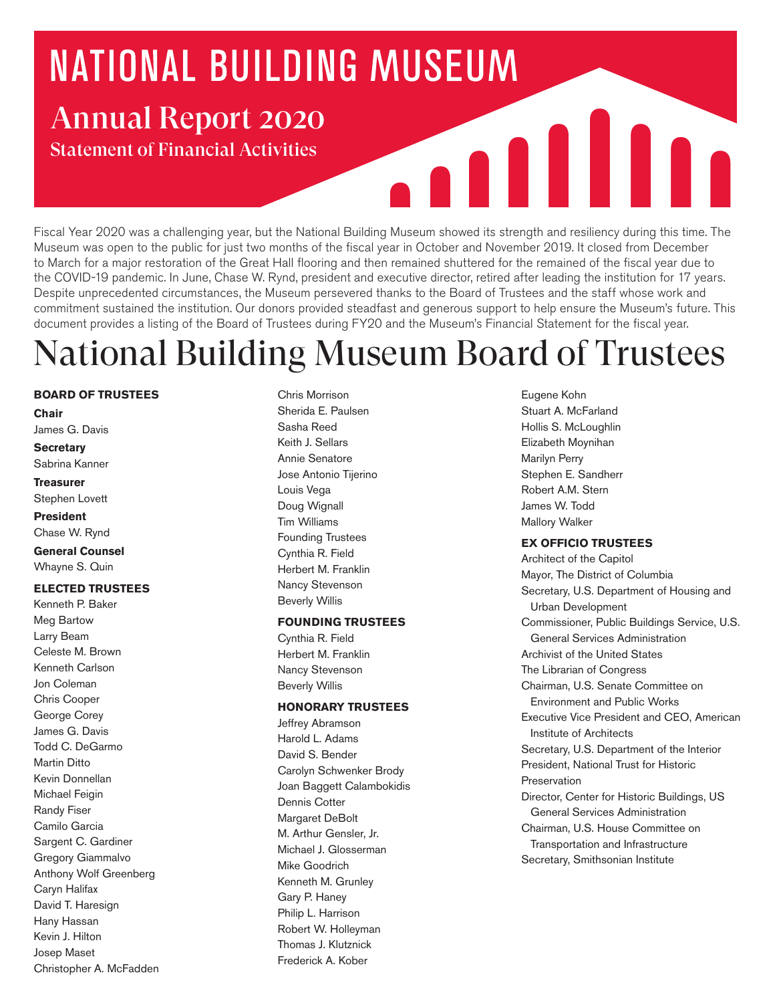# **NATIONAL BUILDING MUSEUM** Annual Report 2020

Statement of Financial Activities

Fiscal Year 2020 was a challenging year, but the National Building Museum showed its strength and resiliency during this time. The Museum was open to the public for just two months of the fiscal year in October and November 2019. It closed from December to March for a major restoration of the Great Hall flooring and then remained shuttered for the remained of the fiscal year due to the COVID-19 pandemic. In June, Chase W. Rynd, president and executive director, retired after leading the institution for 17 years. Despite unprecedented circumstances, the Museum persevered thanks to the Board of Trustees and the staff whose work and commitment sustained the institution. Our donors provided steadfast and generous support to help ensure the Museum's future. This document provides a listing of the Board of Trustees during FY20 and the Museum's Financial Statement for the fiscal year.

**AND 11** 

# National Building Museum Board of Trustees

#### **BOARD OF TRUSTEES**

**Chair** 

James G. Davis

#### **Secretary**

Sabrina Kanner

#### **Treasurer**

Stephen Lovett

#### **President**

Chase W. Rynd

**General Counsel**  Whayne S. Quin

#### **ELECTED TRUSTEES**

Kenneth P. Baker Meg Bartow Larry Beam Celeste M. Brown Kenneth Carlson Jon Coleman Chris Cooper George Corey James G. Davis Todd C. DeGarmo Martin Ditto Kevin Donnellan Michael Feigin Randy Fiser Camilo Garcia Sargent C. Gardiner Gregory Giammalvo Anthony Wolf Greenberg Caryn Halifax David T. Haresign Hany Hassan Kevin J. Hilton Josep Maset Christopher A. McFadden

Chris Morrison Sherida E. Paulsen Sasha Reed Keith J. Sellars Annie Senatore Jose Antonio Tijerino Louis Vega Doug Wignall Tim Williams Founding Trustees Cynthia R. Field Herbert M. Franklin Nancy Stevenson Beverly Willis

#### **FOUNDING TRUSTEES**

Cynthia R. Field Herbert M. Franklin Nancy Stevenson Beverly Willis

#### **HONORARY TRUSTEES**

Jeffrey Abramson Harold L. Adams David S. Bender Carolyn Schwenker Brody Joan Baggett Calambokidis Dennis Cotter Margaret DeBolt M. Arthur Gensler, Jr. Michael J. Glosserman Mike Goodrich Kenneth M. Grunley Gary P. Haney Philip L. Harrison Robert W. Holleyman Thomas J. Klutznick Frederick A. Kober

Eugene Kohn Stuart A. McFarland Hollis S. McLoughlin Elizabeth Moynihan Marilyn Perry Stephen E. Sandherr Robert A.M. Stern James W. Todd Mallory Walker

#### **EX OFFICIO TRUSTEES**

Architect of the Capitol Mayor, The District of Columbia Secretary, U.S. Department of Housing and Urban Development Commissioner, Public Buildings Service, U.S. General Services Administration Archivist of the United States The Librarian of Congress Chairman, U.S. Senate Committee on Environment and Public Works Executive Vice President and CEO, American Institute of Architects Secretary, U.S. Department of the Interior President, National Trust for Historic Preservation Director, Center for Historic Buildings, US General Services Administration Chairman, U.S. House Committee on Transportation and Infrastructure Secretary, Smithsonian Institute